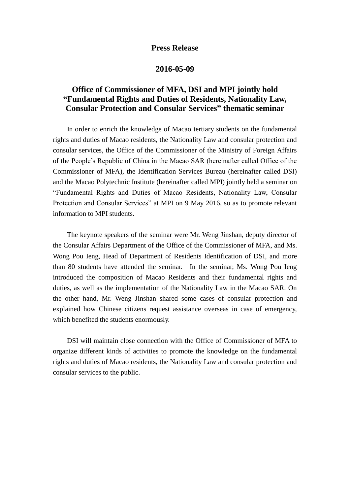## **Press Release**

## **2016-05-09**

## **Office of Commissioner of MFA, DSI and MPI jointly hold "Fundamental Rights and Duties of Residents, Nationality Law, Consular Protection and Consular Services" thematic seminar**

 In order to enrich the knowledge of Macao tertiary students on the fundamental rights and duties of Macao residents, the Nationality Law and consular protection and consular services, the Office of the Commissioner of the Ministry of Foreign Affairs of the People's Republic of China in the Macao SAR (hereinafter called Office of the Commissioner of MFA), the Identification Services Bureau (hereinafter called DSI) and the Macao Polytechnic Institute (hereinafter called MPI) jointly held a seminar on "Fundamental Rights and Duties of Macao Residents, Nationality Law, Consular Protection and Consular Services" at MPI on 9 May 2016, so as to promote relevant information to MPI students.

 The keynote speakers of the seminar were Mr. Weng Jinshan, deputy director of the Consular Affairs Department of the Office of the Commissioner of MFA, and Ms. Wong Pou Ieng, Head of Department of Residents Identification of DSI, and more than 80 students have attended the seminar. In the seminar, Ms. Wong Pou Ieng introduced the composition of Macao Residents and their fundamental rights and duties, as well as the implementation of the Nationality Law in the Macao SAR. On the other hand, Mr. Weng Jinshan shared some cases of consular protection and explained how Chinese citizens request assistance overseas in case of emergency, which benefited the students enormously.

 DSI will maintain close connection with the Office of Commissioner of MFA to organize different kinds of activities to promote the knowledge on the fundamental rights and duties of Macao residents, the Nationality Law and consular protection and consular services to the public.